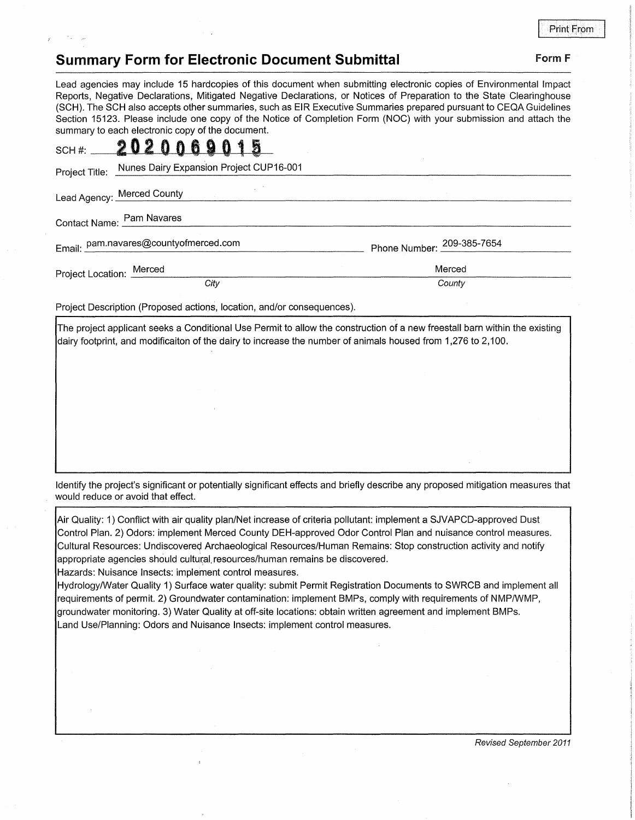Print From

## **Summary Form for Electronic Document Submittal Form F Form F**

Lead agencies may include 15 hardcopies of this document when submitting electronic copies of Environmental Impact Reports, Negative Declarations, Mitigated Negative Declarations, or Notices of Preparation to the State Clearinghouse (SCH). The SCH also accepts other summaries, such as EIR Executive Summaries prepared pursuant to CEQA Guidelines Section 15123. Please include one copy of the Notice of Completion Form (NOC) with your submission and attach the summary to each electronic copy of the document.

|                          | SCH#: 202006901<br>蜀                                   |                            |
|--------------------------|--------------------------------------------------------|----------------------------|
|                          | Project Title: Nunes Dairy Expansion Project CUP16-001 |                            |
|                          | Lead Agency: Merced County                             |                            |
|                          | Contact Name: Pam Navares                              |                            |
|                          | Email: pam.navares@countyofmerced.com                  | Phone Number: 209-385-7654 |
| Project Location: Merced |                                                        | Merced                     |
|                          | City                                                   | County                     |

Project Description (Proposed actions, location, and/or consequences).

The project applicant seeks a Conditional Use Permit to allow the construction of a new freestall barn within the existing dairy footprint, and modificaiton of the dairy to increase the number of animals housed from 1,276 to 2,100.

Identify the project's significant or potentially significant effects and briefly describe any proposed mitigation measures that would reduce or avoid that effect.

Air Quality: 1) Conflict with air quality plan/Net increase of criteria pollutant: implement a SJVAPCD-approved Dust Control Plan. 2) Odors: implement Merced County DEH-approved Odor Control Plan and nuisance control measures. Cultural Resources: Undiscovered Archaeological Resources/Human Remains: Stop construction activity and notify appropriate agencies should cultural resources/human remains be discovered.

Hazards: Nuisance Insects: implement control measures.

Hydrology/Water Quality 1) Surface water quality: submit Permit Registration Documents to SWRCB and implement all requirements of permit. 2) Groundwater contamination: implement BMPs, comply with requirements of NMP/WMP, groundwater monitoring. 3) Water Quality at off-site locations: obtain written agreement and implement BMPs. Land Use/Planning: Odors and Nuisance Insects: implement control measures.

Revised September 2011